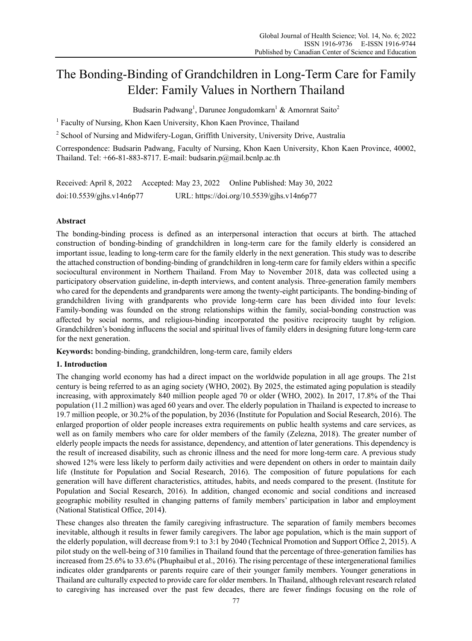# The Bonding-Binding of Grandchildren in Long-Term Care for Family Elder: Family Values in Northern Thailand

Budsarin Padwang<sup>1</sup>, Darunee Jongudomkarn<sup>1</sup> & Amornrat Saito<sup>2</sup>

<sup>1</sup> Faculty of Nursing, Khon Kaen University, Khon Kaen Province, Thailand

<sup>2</sup> School of Nursing and Midwifery-Logan, Griffith University, University Drive, Australia

Correspondence: Budsarin Padwang, Faculty of Nursing, Khon Kaen University, Khon Kaen Province, 40002, Thailand. Tel: +66-81-883-8717. E-mail: budsarin.p@mail.bcnlp.ac.th

Received: April 8, 2022 Accepted: May 23, 2022 Online Published: May 30, 2022 doi:10.5539/gjhs.v14n6p77 URL: https://doi.org/10.5539/gjhs.v14n6p77

# **Abstract**

The bonding-binding process is defined as an interpersonal interaction that occurs at birth. The attached construction of bonding-binding of grandchildren in long-term care for the family elderly is considered an important issue, leading to long-term care for the family elderly in the next generation. This study was to describe the attached construction of bonding-binding of grandchildren in long-term care for family elders within a specific sociocultural environment in Northern Thailand. From May to November 2018, data was collected using a participatory observation guideline, in-depth interviews, and content analysis. Three-generation family members who cared for the dependents and grandparents were among the twenty-eight participants. The bonding-binding of grandchildren living with grandparents who provide long-term care has been divided into four levels: Family-bonding was founded on the strong relationships within the family, social-bonding construction was affected by social norms, and religious-binding incorporated the positive reciprocity taught by religion. Grandchildren's bonidng influcens the social and spiritual lives of family elders in designing future long-term care for the next generation.

**Keywords:** bonding-binding, grandchildren, long-term care, family elders

# **1. Introduction**

The changing world economy has had a direct impact on the worldwide population in all age groups. The 21st century is being referred to as an aging society (WHO, 2002). By 2025, the estimated aging population is steadily increasing, with approximately 840 million people aged 70 or older (WHO, 2002). In 2017, 17.8% of the Thai population (11.2 million) was aged 60 years and over. The elderly population in Thailand is expected to increase to 19.7 million people, or 30.2% of the population, by 2036 (Institute for Population and Social Research, 2016). The enlarged proportion of older people increases extra requirements on public health systems and care services, as well as on family members who care for older members of the family (Zelezna, 2018). The greater number of elderly people impacts the needs for assistance, dependency, and attention of later generations. This dependency is the result of increased disability, such as chronic illness and the need for more long-term care. A previous study showed 12% were less likely to perform daily activities and were dependent on others in order to maintain daily life (Institute for Population and Social Research, 2016). The composition of future populations for each generation will have different characteristics, attitudes, habits, and needs compared to the present. (Institute for Population and Social Research, 2016). In addition, changed economic and social conditions and increased geographic mobility resulted in changing patterns of family members' participation in labor and employment (National Statistical Office, 2014).

These changes also threaten the family caregiving infrastructure. The separation of family members becomes inevitable, although it results in fewer family caregivers. The labor age population, which is the main support of the elderly population, will decrease from 9:1 to 3:1 by 2040 (Technical Promotion and Support Office 2, 2015). A pilot study on the well-being of 310 families in Thailand found that the percentage of three-generation families has increased from 25.6% to 33.6% (Phuphaibul et al., 2016). The rising percentage of these intergenerational families indicates older grandparents or parents require care of their younger family members. Younger generations in Thailand are culturally expected to provide care for older members. In Thailand, although relevant research related to caregiving has increased over the past few decades, there are fewer findings focusing on the role of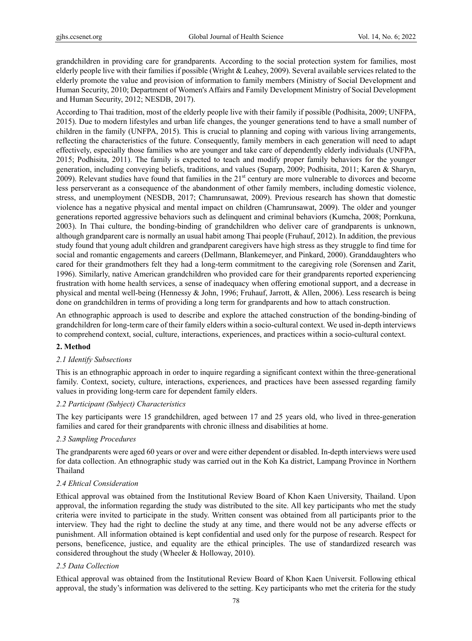grandchildren in providing care for grandparents. According to the social protection system for families, most elderly people live with their families if possible (Wright & Leahey, 2009). Several available services related to the elderly promote the value and provision of information to family members (Ministry of Social Development and Human Security, 2010; Department of Women's Affairs and Family Development Ministry of Social Development and Human Security, 2012; NESDB, 2017).

According to Thai tradition, most of the elderly people live with their family if possible (Podhisita, 2009; UNFPA, 2015). Due to modern lifestyles and urban life changes, the younger generations tend to have a small number of children in the family (UNFPA, 2015). This is crucial to planning and coping with various living arrangements, reflecting the characteristics of the future. Consequently, family members in each generation will need to adapt effectively, especially those families who are younger and take care of dependently elderly individuals (UNFPA, 2015; Podhisita, 2011). The family is expected to teach and modify proper family behaviors for the younger generation, including conveying beliefs, traditions, and values (Suparp, 2009; Podhisita, 2011; Karen & Sharyn, 2009). Relevant studies have found that families in the 21<sup>st</sup> century are more vulnerable to divorces and become less perserverant as a consequence of the abandonment of other family members, including domestic violence, stress, and unemployment (NESDB, 2017; Chamrunsawat, 2009). Previous research has shown that domestic violence has a negative physical and mental impact on children (Chamrunsawat, 2009). The older and younger generations reported aggressive behaviors such as delinquent and criminal behaviors (Kumcha, 2008; Pornkuna, 2003). In Thai culture, the bonding-binding of grandchildren who deliver care of grandparents is unknown, although grandparent care is normally an usual habit among Thai people (Fruhauf, 2012). In addition, the previous study found that young adult children and grandparent caregivers have high stress as they struggle to find time for social and romantic engagements and careers (Dellmann, Blankemeyer, and Pinkard, 2000). Granddaughters who cared for their grandmothers felt they had a long-term commitment to the caregiving role (Sorensen and Zarit, 1996). Similarly, native American grandchildren who provided care for their grandparents reported experiencing frustration with home health services, a sense of inadequacy when offering emotional support, and a decrease in physical and mental well-being (Hennessy & John, 1996; Fruhauf, Jarrott, & Allen, 2006). Less research is being done on grandchildren in terms of providing a long term for grandparents and how to attach construction.

An ethnographic approach is used to describe and explore the attached construction of the bonding-binding of grandchildren for long-term care of their family elders within a socio-cultural context. We used in-depth interviews to comprehend context, social, culture, interactions, experiences, and practices within a socio-cultural context.

# **2. Method**

#### *2.1 Identify Subsections*

This is an ethnographic approach in order to inquire regarding a significant context within the three-generational family. Context, society, culture, interactions, experiences, and practices have been assessed regarding family values in providing long-term care for dependent family elders.

#### *2.2 Participant (Subject) Characteristics*

The key participants were 15 grandchildren, aged between 17 and 25 years old, who lived in three-generation families and cared for their grandparents with chronic illness and disabilities at home.

# *2.3 Sampling Procedures*

The grandparents were aged 60 years or over and were either dependent or disabled. In-depth interviews were used for data collection. An ethnographic study was carried out in the Koh Ka district, Lampang Province in Northern Thailand

# *2.4 Ehtical Consideration*

Ethical approval was obtained from the Institutional Review Board of Khon Kaen University, Thailand. Upon approval, the information regarding the study was distributed to the site. All key participants who met the study criteria were invited to participate in the study. Written consent was obtained from all participants prior to the interview. They had the right to decline the study at any time, and there would not be any adverse effects or punishment. All information obtained is kept confidential and used only for the purpose of research. Respect for persons, beneficence, justice, and equality are the ethical principles. The use of standardized research was considered throughout the study (Wheeler & Holloway, 2010).

#### *2.5 Data Collection*

Ethical approval was obtained from the Institutional Review Board of Khon Kaen Universit. Following ethical approval, the study's information was delivered to the setting. Key participants who met the criteria for the study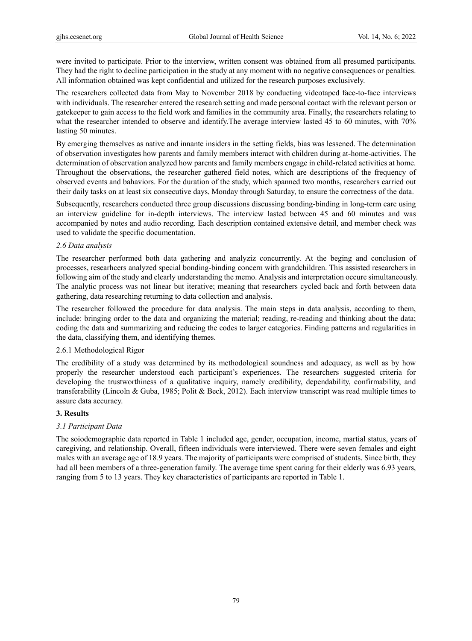were invited to participate. Prior to the interview, written consent was obtained from all presumed participants. They had the right to decline participation in the study at any moment with no negative consequences or penalties. All information obtained was kept confidential and utilized for the research purposes exclusively.

The researchers collected data from May to November 2018 by conducting videotaped face-to-face interviews with individuals. The researcher entered the research setting and made personal contact with the relevant person or gatekeeper to gain access to the field work and families in the community area. Finally, the researchers relating to what the researcher intended to observe and identify. The average interview lasted 45 to 60 minutes, with 70% lasting 50 minutes.

By emerging themselves as native and innante insiders in the setting fields, bias was lessened. The determination of observation investigates how parents and family members interact with children during at-home-activities. The determination of observation analyzed how parents and family members engage in child-related activities at home. Throughout the observations, the researcher gathered field notes, which are descriptions of the frequency of observed events and bahaviors. For the duration of the study, which spanned two months, researchers carried out their daily tasks on at least six consecutive days, Monday through Saturday, to ensure the correctness of the data.

Subsequently, researchers conducted three group discussions discussing bonding-binding in long-term care using an interview guideline for in-depth interviews. The interview lasted between 45 and 60 minutes and was accompanied by notes and audio recording. Each description contained extensive detail, and member check was used to validate the specific documentation.

## *2.6 Data analysis*

The researcher performed both data gathering and analyziz concurrently. At the beging and conclusion of processes, researhcers analyzed special bonding-binding concern with grandchildren. This assisted researchers in following aim of the study and clearly understanding the memo. Analysis and interpretation occure simultaneously. The analytic process was not linear but iterative; meaning that researchers cycled back and forth between data gathering, data researching returning to data collection and analysis.

The researcher followed the procedure for data analysis. The main steps in data analysis, according to them, include: bringing order to the data and organizing the material; reading, re-reading and thinking about the data; coding the data and summarizing and reducing the codes to larger categories. Finding patterns and regularities in the data, classifying them, and identifying themes.

# 2.6.1 Methodological Rigor

The credibility of a study was determined by its methodological soundness and adequacy, as well as by how properly the researcher understood each participant's experiences. The researchers suggested criteria for developing the trustworthiness of a qualitative inquiry, namely credibility, dependability, confirmability, and transferability (Lincoln & Guba, 1985; Polit & Beck, 2012). Each interview transcript was read multiple times to assure data accuracy.

# **3. Results**

# *3.1 Participant Data*

The soiodemographic data reported in Table 1 included age, gender, occupation, income, martial status, years of caregiving, and relationship. Overall, fifteen individuals were interviewed. There were seven females and eight males with an average age of 18.9 years. The majority of participants were comprised of students. Since birth, they had all been members of a three-generation family. The average time spent caring for their elderly was 6.93 years, ranging from 5 to 13 years. They key characteristics of participants are reported in Table 1.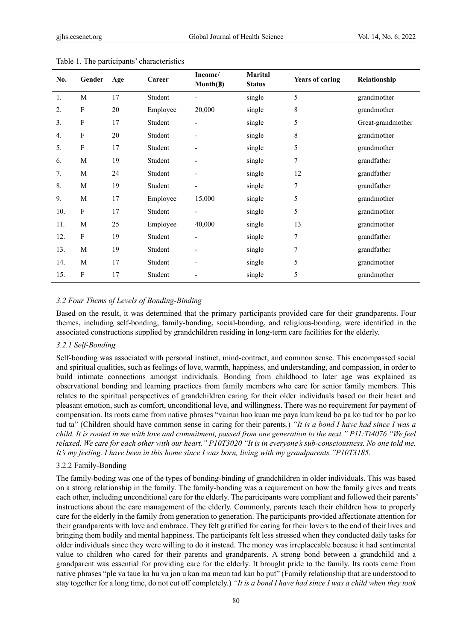| No. | Gender       | Age | Career   | Income/<br>$\text{Month}(\beta)$ | <b>Marital</b><br><b>Status</b> | <b>Years of caring</b> | Relationship      |
|-----|--------------|-----|----------|----------------------------------|---------------------------------|------------------------|-------------------|
| 1.  | M            | 17  | Student  | $\overline{\phantom{a}}$         | single                          | 5                      | grandmother       |
| 2.  | F            | 20  | Employee | 20,000                           | single                          | 8                      | grandmother       |
| 3.  | $\mathbf{F}$ | 17  | Student  | $\overline{\phantom{a}}$         | single                          | 5                      | Great-grandmother |
| 4.  | F            | 20  | Student  |                                  | single                          | 8                      | grandmother       |
| 5.  | $\mathbf{F}$ | 17  | Student  |                                  | single                          | 5                      | grandmother       |
| 6.  | M            | 19  | Student  | $\overline{\phantom{a}}$         | single                          | 7                      | grandfather       |
| 7.  | M            | 24  | Student  | $\overline{\phantom{a}}$         | single                          | 12                     | grandfather       |
| 8.  | M            | 19  | Student  | $\overline{a}$                   | single                          | $\sqrt{ }$             | grandfather       |
| 9.  | M            | 17  | Employee | 15,000                           | single                          | 5                      | grandmother       |
| 10. | F            | 17  | Student  | $\overline{\phantom{a}}$         | single                          | 5                      | grandmother       |
| 11. | M            | 25  | Employee | 40,000                           | single                          | 13                     | grandmother       |
| 12. | F            | 19  | Student  |                                  | single                          | 7                      | grandfather       |
| 13. | M            | 19  | Student  | $\overline{\phantom{a}}$         | single                          | 7                      | grandfather       |
| 14. | M            | 17  | Student  |                                  | single                          | 5                      | grandmother       |
| 15. | F            | 17  | Student  |                                  | single                          | 5                      | grandmother       |

#### Table 1. The participants' characteristics

#### *3.2 Four Thems of Levels of Bonding-Binding*

Based on the result, it was determined that the primary participants provided care for their grandparents. Four themes, including self-bonding, family-bonding, social-bonding, and religious-bonding, were identified in the associated constructions supplied by grandchildren residing in long-term care facilities for the elderly.

## *3.2.1 Self-Bonding*

Self-bonding was associated with personal instinct, mind-contract, and common sense. This encompassed social and spiritual qualities, such as feelings of love, warmth, happiness, and understanding, and compassion, in order to build intimate connections amongst individuals. Bonding from childhood to later age was explained as observational bonding and learning practices from family members who care for senior family members. This relates to the spiritual perspectives of grandchildren caring for their older individuals based on their heart and pleasant emotion, such as comfort, unconditional love, and willingness. There was no requirement for payment of compensation. Its roots came from native phrases "vairun hao kuan me paya kum keud bo pa ko tud tor bo por ko tud ta" (Children should have common sense in caring for their parents.) *"It is a bond I have had since I was a child. It is rooted in me with love and commitment, passed from one generation to the next." P11:Tt4076 "We feel relaxed. We care for each other with our heart." P10T3020 "It is in everyone's sub-consciousness. No one told me. It's my feeling. I have been in this home since I was born, living with my grandparents."P10T3185.*

# 3.2.2 Family-Bonding

The family-boding was one of the types of bonding-binding of grandchildren in older individuals. This was based on a strong relationship in the family. The family-bonding was a requirement on how the family gives and treats each other, including unconditional care for the elderly. The participants were compliant and followed their parents' instructions about the care management of the elderly. Commonly, parents teach their children how to properly care for the elderly in the family from generation to generation. The participants provided affectionate attention for their grandparents with love and embrace. They felt gratified for caring for their lovers to the end of their lives and bringing them bodily and mental happiness. The participants felt less stressed when they conducted daily tasks for older individuals since they were willing to do it instead. The money was irreplaceable because it had sentimental value to children who cared for their parents and grandparents. A strong bond between a grandchild and a grandparent was essential for providing care for the elderly. It brought pride to the family. Its roots came from native phrases "ple va taue ka hu va jon u kan ma meun tad kan bo put" (Family relationship that are understood to stay together for a long time, do not cut off completely.) *"It is a bond I have had since I was a child when they took*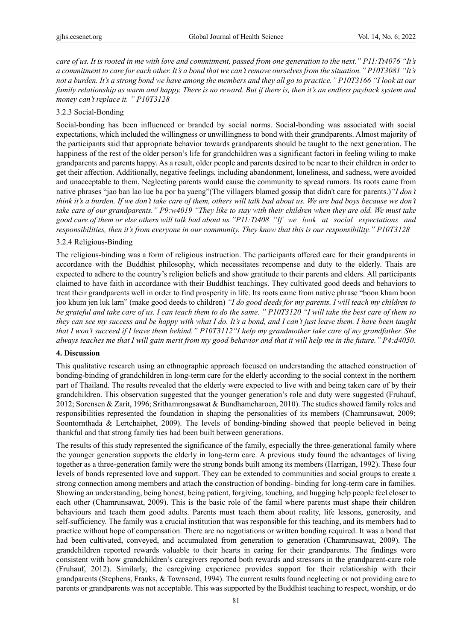*care of us. It is rooted in me with love and commitment, passed from one generation to the next." P11:Tt4076 "It's a commitment to care for each other. It's a bond that we can't remove ourselves from the situation." P10T3081 "It's not a burden. It's a strong bond we have among the members and they all go to practice." P10T3166 "I look at our family relationship as warm and happy. There is no reward. But if there is, then it's an endless payback system and money can't replace it. " P10T3128* 

# 3.2.3 Social-Bonding

Social-bonding has been influenced or branded by social norms. Social-bonding was associated with social expectations, which included the willingness or unwillingness to bond with their grandparents. Almost majority of the participants said that appropriate behavior towards grandparents should be taught to the next generation. The happiness of the rest of the older person's life for grandchildren was a significant factori in feeling wiling to make grandparents and parents happy. As a result, older people and parents desired to be near to their children in order to get their affection. Additionally, negative feelings, including abandonment, loneliness, and sadness, were avoided and unacceptable to them. Neglecting parents would cause the community to spread rumors. Its roots came from native phrases "jao ban lao lue ba por ba yaeng"(The villagers blamed gossip that didn't care for parents.)*"I don't think it's a burden. If we don't take care of them, others will talk bad about us. We are bad boys because we don't take care of our grandparents." P9:w4019 "They like to stay with their children when they are old. We must take good care of them or else others will talk bad about us."P11:Tt408 "If we look at social expectations and responsibilities, then it's from everyone in our community. They know that this is our responsibility." P10T3128*

## 3.2.4 Religious-Binding

The religious-binding was a form of religious instruction. The participants offered care for their grandparents in accordance with the Buddhist philosophy, which necessitates recompense and duty to the elderly. Thais are expected to adhere to the country's religion beliefs and show gratitude to their parents and elders. All participants claimed to have faith in accordance with their Buddhist teachings. They cultivated good deeds and behaviors to treat their grandparents well in order to find prosperity in life. Its roots came from native phrase "boon kham boon joo khum jen luk larn" (make good deeds to children) *"I do good deeds for my parents. I will teach my children to be grateful and take care of us. I can teach them to do the same. " P10T3120 "I will take the best care of them so they can see my success and be happy with what I do. It's a bond, and I can't just leave them. I have been taught that I won't succeed if I leave them behind." P10T3112"I help my grandmother take care of my grandfather. She always teaches me that I will gain merit from my good behavior and that it will help me in the future." P4:d4050*.

# **4. Discussion**

This qualitative research using an ethnographic approach focused on understanding the attached construction of bonding-binding of grandchildren in long-term care for the elderly according to the social context in the northern part of Thailand. The results revealed that the elderly were expected to live with and being taken care of by their grandchildren. This observation suggested that the younger generation's role and duty were suggested (Fruhauf, 2012; Sorensen & Zarit, 1996; Srithamrongsawat & Bundhamcharoen, 2010). The studies showed family roles and responsibilities represented the foundation in shaping the personalities of its members (Chamrunsawat, 2009; Soontornthada & Lertchaiphet, 2009). The levels of bonding-binding showed that people believed in being thankful and that strong family ties had been built between generations.

The results of this study represented the significance of the family, especially the three-generational family where the younger generation supports the elderly in long-term care. A previous study found the advantages of living together as a three-generation family were the strong bonds built among its members (Harrigan, 1992). These four levels of bonds represented love and support. They can be extended to communities and social groups to create a strong connection among members and attach the construction of bonding- binding for long-term care in families. Showing an understanding, being honest, being patient, forgiving, touching, and hugging help people feel closer to each other (Chamrunsawat, 2009). This is the basic role of the famil where parents must shape their children behaviours and teach them good adults. Parents must teach them about reality, life lessons, generosity, and self-sufficiency. The family was a crucial institution that was responsible for this teaching, and its members had to practice without hope of compensation. There are no negotiations or written bonding required. It was a bond that had been cultivated, conveyed, and accumulated from generation to generation (Chamrunsawat, 2009). The grandchildren reported rewards valuable to their hearts in caring for their grandparents. The findings were consistent with how grandchildren's caregivers reported both rewards and stressors in the grandparent-care role (Fruhauf, 2012). Similarly, the caregiving experience provides support for their relationship with their grandparents (Stephens, Franks, & Townsend, 1994). The current results found neglecting or not providing care to parents or grandparents was not acceptable. This was supported by the Buddhist teaching to respect, worship, or do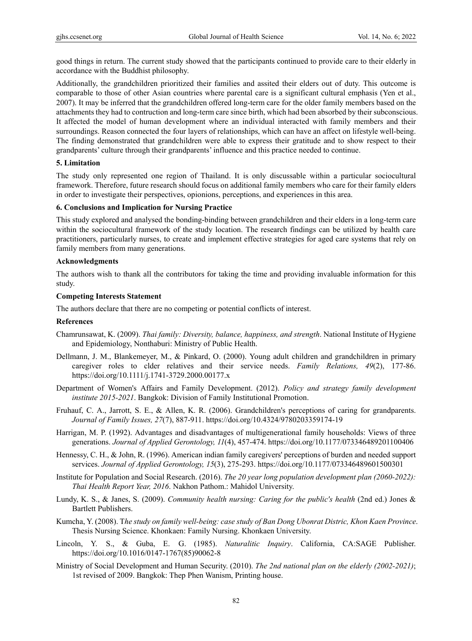good things in return. The current study showed that the participants continued to provide care to their elderly in accordance with the Buddhist philosophy.

Additionally, the grandchildren prioritized their families and assited their elders out of duty. This outcome is comparable to those of other Asian countries where parental care is a significant cultural emphasis (Yen et al., 2007). It may be inferred that the grandchildren offered long-term care for the older family members based on the attachments they had to contruction and long-term care since birth, which had been absorbed by their subconscious. It affected the model of human development where an individual interacted with family members and their surroundings. Reason connected the four layers of relationships, which can have an affect on lifestyle well-being. The finding demonstrated that grandchildren were able to express their gratitude and to show respect to their grandparents' culture through their grandparents' influence and this practice needed to continue.

# **5. Limitation**

The study only represented one region of Thailand. It is only discussable within a particular sociocultural framework. Therefore, future research should focus on additional family members who care for their family elders in order to investigate their perspectives, opionions, perceptions, and experiences in this area.

## **6. Conclusions and Implication for Nursing Practice**

This study explored and analysed the bonding-binding between grandchildren and their elders in a long-term care within the sociocultural framework of the study location. The research findings can be utilized by health care practitioners, particularly nurses, to create and implement effective strategies for aged care systems that rely on family members from many generations.

## **Acknowledgments**

The authors wish to thank all the contributors for taking the time and providing invaluable information for this study.

## **Competing Interests Statement**

The authors declare that there are no competing or potential conflicts of interest.

#### **References**

- Chamrunsawat, K. (2009). *Thai family: Diversity, balance, happiness, and strength*. National Institute of Hygiene and Epidemiology, Nonthaburi: Ministry of Public Health.
- Dellmann, J. M., Blankemeyer, M., & Pinkard, O. (2000). Young adult children and grandchildren in primary caregiver roles to clder relatives and their service needs. *Family Relations, 49*(2), 177-86. https://doi.org/10.1111/j.1741-3729.2000.00177.x
- Department of Women's Affairs and Family Development. (2012). *Policy and strategy family development institute 2015-2021*. Bangkok: Division of Family Institutional Promotion.
- Fruhauf, C. A., Jarrott, S. E., & Allen, K. R. (2006). Grandchildren's perceptions of caring for grandparents. *Journal of Family Issues, 27*(7), 887-911. https://doi.org/10.4324/9780203359174-19
- Harrigan, M. P. (1992). Advantages and disadvantages of multigenerational family households: Views of three generations. *Journal of Applied Gerontology, 11*(4), 457-474. https://doi.org/10.1177/073346489201100406
- Hennessy, C. H., & John, R. (1996). American indian family caregivers' perceptions of burden and needed support services. *Journal of Applied Gerontology, 15*(3), 275-293. https://doi.org/10.1177/073346489601500301
- Institute for Population and Social Research. (2016). *The 20 year long population development plan (2060-2022): Thai Health Report Year, 2016*. Nakhon Pathom.: Mahidol University.
- Lundy, K. S., & Janes, S. (2009). *Community health nursing: Caring for the public's health* (2nd ed.) Jones & Bartlett Publishers.
- Kumcha, Y. (2008). T*he study on family well-being: case study of Ban Dong Ubonrat Distric, Khon Kaen Province*. Thesis Nursing Science. Khonkaen: Family Nursing. Khonkaen University.
- Lincoln, Y. S., & Guba, E. G. (1985). *Naturalitic Inquiry*. California, CA:SAGE Publisher. https://doi.org/10.1016/0147-1767(85)90062-8
- Ministry of Social Development and Human Security. (2010). *The 2nd national plan on the elderly (2002-2021)*; 1st revised of 2009. Bangkok: Thep Phen Wanism, Printing house.